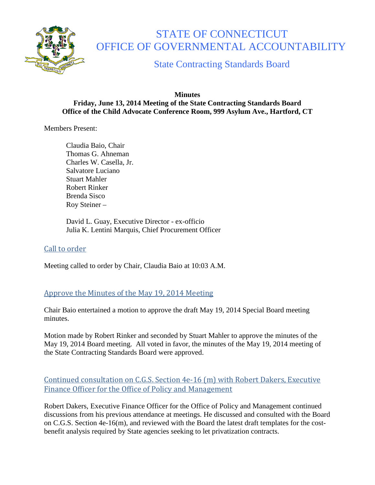

# STATE OF CONNECTICUT OFFICE OF GOVERNMENTAL ACCOUNTABILITY

State Contracting Standards Board

#### **Minutes Friday, June 13, 2014 Meeting of the State Contracting Standards Board Office of the Child Advocate Conference Room, 999 Asylum Ave., Hartford, CT**

Members Present:

Claudia Baio, Chair Thomas G. Ahneman Charles W. Casella, Jr. Salvatore Luciano Stuart Mahler Robert Rinker Brenda Sisco Roy Steiner –

David L. Guay, Executive Director - ex-officio Julia K. Lentini Marquis, Chief Procurement Officer

## Call to order

Meeting called to order by Chair, Claudia Baio at 10:03 A.M.

## Approve the Minutes of the May 19, 2014 Meeting

Chair Baio entertained a motion to approve the draft May 19, 2014 Special Board meeting minutes.

Motion made by Robert Rinker and seconded by Stuart Mahler to approve the minutes of the May 19, 2014 Board meeting. All voted in favor, the minutes of the May 19, 2014 meeting of the State Contracting Standards Board were approved.

## Continued consultation on C.G.S. Section 4e-16 (m) with Robert Dakers, Executive Finance Officer for the Office of Policy and Management

Robert Dakers, Executive Finance Officer for the Office of Policy and Management continued discussions from his previous attendance at meetings. He discussed and consulted with the Board on C.G.S. Section 4e-16(m), and reviewed with the Board the latest draft templates for the costbenefit analysis required by State agencies seeking to let privatization contracts.